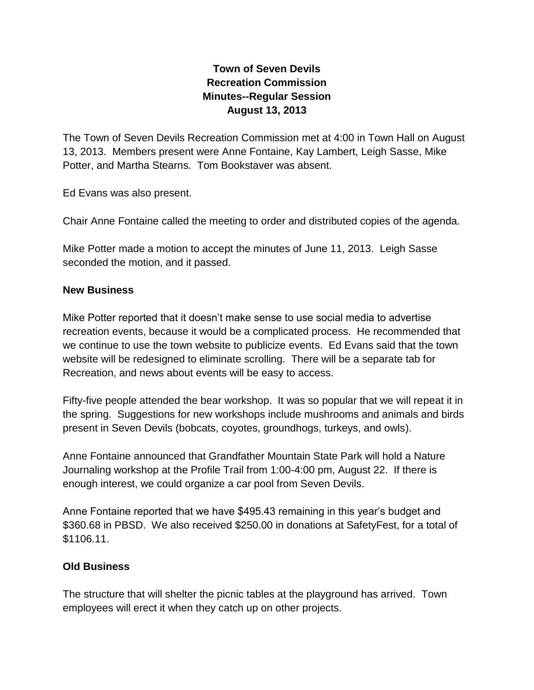## **Town of Seven Devils Recreation Commission Minutes--Regular Session August 13, 2013**

The Town of Seven Devils Recreation Commission met at 4:00 in Town Hall on August 13, 2013. Members present were Anne Fontaine, Kay Lambert, Leigh Sasse, Mike Potter, and Martha Stearns. Tom Bookstaver was absent.

Ed Evans was also present.

Chair Anne Fontaine called the meeting to order and distributed copies of the agenda.

Mike Potter made a motion to accept the minutes of June 11, 2013. Leigh Sasse seconded the motion, and it passed.

## **New Business**

Mike Potter reported that it doesn't make sense to use social media to advertise recreation events, because it would be a complicated process. He recommended that we continue to use the town website to publicize events. Ed Evans said that the town website will be redesigned to eliminate scrolling. There will be a separate tab for Recreation, and news about events will be easy to access.

Fifty-five people attended the bear workshop. It was so popular that we will repeat it in the spring. Suggestions for new workshops include mushrooms and animals and birds present in Seven Devils (bobcats, coyotes, groundhogs, turkeys, and owls).

Anne Fontaine announced that Grandfather Mountain State Park will hold a Nature Journaling workshop at the Profile Trail from 1:00-4:00 pm, August 22. If there is enough interest, we could organize a car pool from Seven Devils.

Anne Fontaine reported that we have \$495.43 remaining in this year's budget and \$360.68 in PBSD. We also received \$250.00 in donations at SafetyFest, for a total of \$1106.11.

## **Old Business**

The structure that will shelter the picnic tables at the playground has arrived. Town employees will erect it when they catch up on other projects.